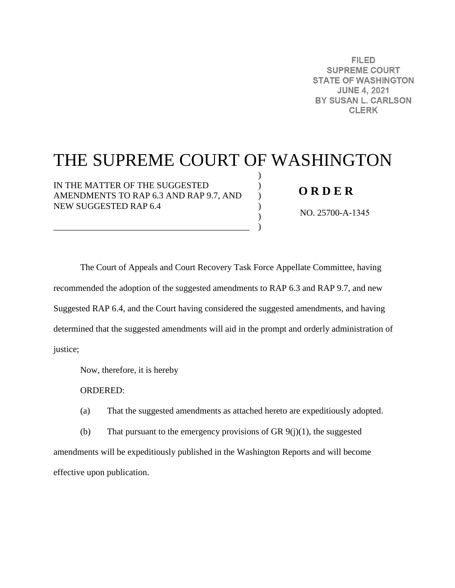**FILED SUPREME COURT STATE OF WASHINGTON JUNE 4, 2021** BY SUSAN L. CARLSON **CLERK** 

# THE SUPREME COURT OF WASHINGTON

) ) ) ) ) )

IN THE MATTER OF THE SUGGESTED AMENDMENTS TO RAP 6.3 AND RAP 9.7, AND NEW SUGGESTED RAP 6.4

\_\_\_\_\_\_\_\_\_\_\_\_\_\_\_\_\_\_\_\_\_\_\_\_\_\_\_\_\_\_\_\_\_\_\_\_\_\_\_\_\_\_\_\_

## **O R D E R**

NO. 25700-A-1345

The Court of Appeals and Court Recovery Task Force Appellate Committee, having recommended the adoption of the suggested amendments to RAP 6.3 and RAP 9.7, and new Suggested RAP 6.4, and the Court having considered the suggested amendments, and having determined that the suggested amendments will aid in the prompt and orderly administration of justice;

Now, therefore, it is hereby

ORDERED:

(a) That the suggested amendments as attached hereto are expeditiously adopted.

(b) That pursuant to the emergency provisions of GR  $9(j)(1)$ , the suggested amendments will be expeditiously published in the Washington Reports and will become effective upon publication.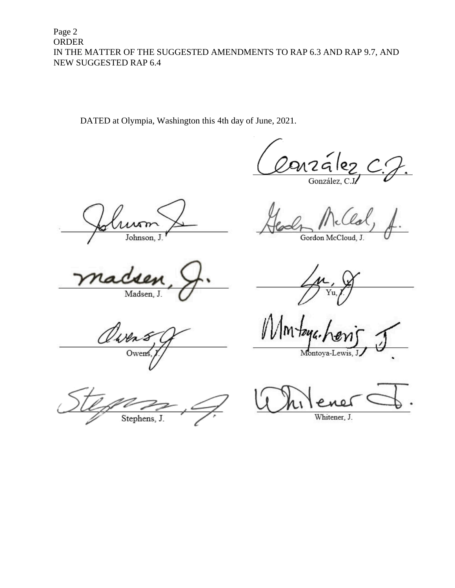Page 2 **ORDER** IN THE MATTER OF THE SUGGESTED AMENDMENTS TO RAP 6.3 AND RAP 9.7, AND NEW SUGGESTED RAP 6.4

DATED at Olympia, Washington this 4th day of June, 2021.

arzález González, C

Johnson, J.

Madsen, J.

Owen Owen

Stephens, J.

Gordon McCloud, J.

Montoya-Lewis,

Whitener, J.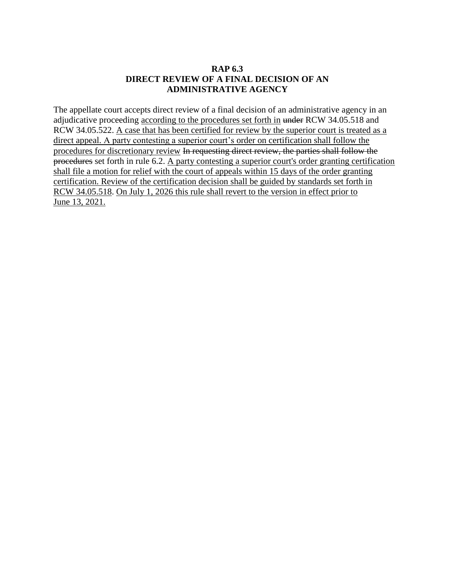#### **RAP 6.3 DIRECT REVIEW OF A FINAL DECISION OF AN ADMINISTRATIVE AGENCY**

The appellate court accepts direct review of a final decision of an administrative agency in an adjudicative proceeding according to the procedures set forth in under RCW 34.05.518 and RCW 34.05.522. A case that has been certified for review by the superior court is treated as a direct appeal. A party contesting a superior court's order on certification shall follow the procedures for discretionary review In requesting direct review, the parties shall follow the procedures set forth in rule 6.2. A party contesting a superior court's order granting certification shall file a motion for relief with the court of appeals within 15 days of the order granting certification. Review of the certification decision shall be guided by standards set forth in RCW 34.05.518. On July 1, 2026 this rule shall revert to the version in effect prior to June 13, 2021.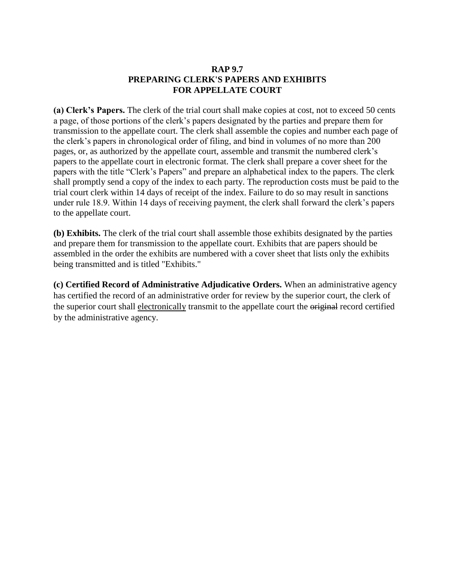#### **RAP 9.7 PREPARING CLERK'S PAPERS AND EXHIBITS FOR APPELLATE COURT**

**(a) Clerk's Papers.** The clerk of the trial court shall make copies at cost, not to exceed 50 cents a page, of those portions of the clerk's papers designated by the parties and prepare them for transmission to the appellate court. The clerk shall assemble the copies and number each page of the clerk's papers in chronological order of filing, and bind in volumes of no more than 200 pages, or, as authorized by the appellate court, assemble and transmit the numbered clerk's papers to the appellate court in electronic format. The clerk shall prepare a cover sheet for the papers with the title "Clerk's Papers" and prepare an alphabetical index to the papers. The clerk shall promptly send a copy of the index to each party. The reproduction costs must be paid to the trial court clerk within 14 days of receipt of the index. Failure to do so may result in sanctions under rule 18.9. Within 14 days of receiving payment, the clerk shall forward the clerk's papers to the appellate court.

**(b) Exhibits.** The clerk of the trial court shall assemble those exhibits designated by the parties and prepare them for transmission to the appellate court. Exhibits that are papers should be assembled in the order the exhibits are numbered with a cover sheet that lists only the exhibits being transmitted and is titled "Exhibits."

**(c) Certified Record of Administrative Adjudicative Orders.** When an administrative agency has certified the record of an administrative order for review by the superior court, the clerk of the superior court shall electronically transmit to the appellate court the original record certified by the administrative agency.